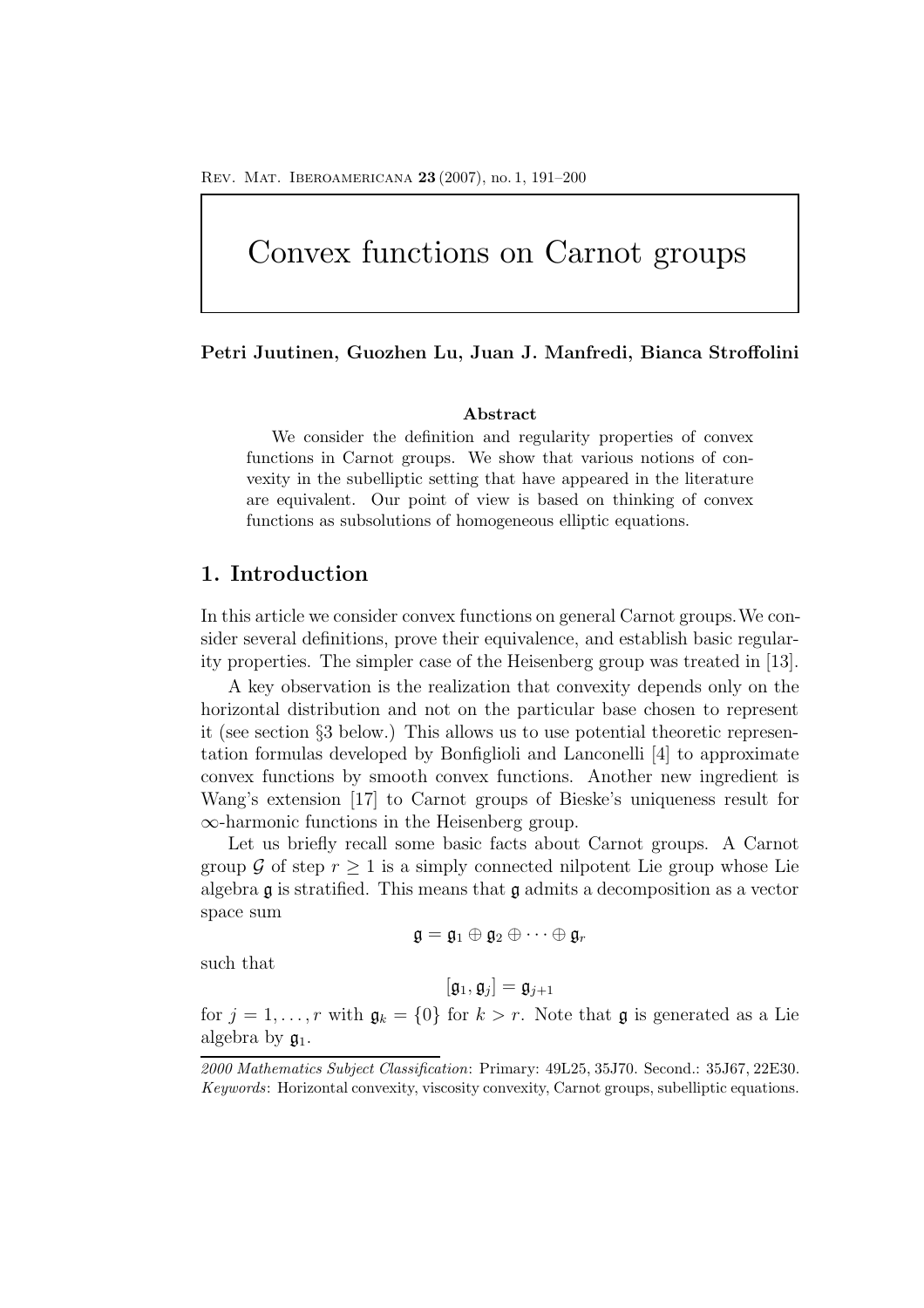# Convex functions on Carnot groups

#### **Petri Juutinen, Guozhen Lu, Juan J. Manfredi, Bianca Stroffolini**

#### **Abstract**

We consider the definition and regularity properties of convex functions in Carnot groups. We show that various notions of convexity in the subelliptic setting that have appeared in the literature are equivalent. Our point of view is based on thinking of convex functions as subsolutions of homogeneous elliptic equations.

## **1. Introduction**

In this article we consider convex functions on general Carnot groups.We consider several definitions, prove their equivalence, and establish basic regularity properties. The simpler case of the Heisenberg group was treated in [13].

A key observation is the realization that convexity depends only on the horizontal distribution and not on the particular base chosen to represent it (see section §3 below.) This allows us to use potential theoretic representation formulas developed by Bonfiglioli and Lanconelli [4] to approximate convex functions by smooth convex functions. Another new ingredient is Wang's extension [17] to Carnot groups of Bieske's uniqueness result for ∞-harmonic functions in the Heisenberg group.

Let us briefly recall some basic facts about Carnot groups. A Carnot group G of step  $r \geq 1$  is a simply connected nilpotent Lie group whose Lie algebra  $\mathfrak g$  is stratified. This means that  $\mathfrak g$  admits a decomposition as a vector space sum

$$
\mathfrak{g}=\mathfrak{g}_1\oplus\mathfrak{g}_2\oplus\cdots\oplus\mathfrak{g}_r
$$

such that

$$
[\mathfrak{g}_1,\mathfrak{g}_j]=\mathfrak{g}_{j+1}
$$

for  $j = 1, ..., r$  with  $\mathfrak{g}_k = \{0\}$  for  $k > r$ . Note that  $\mathfrak g$  is generated as a Lie algebra by  $\mathfrak{g}_1$ .

*<sup>2000</sup> Mathematics Subject Classification*: Primary: 49L25, 35J70. Second.: 35J67, 22E30. *Keywords*: Horizontal convexity, viscosity convexity, Carnot groups, subelliptic equations.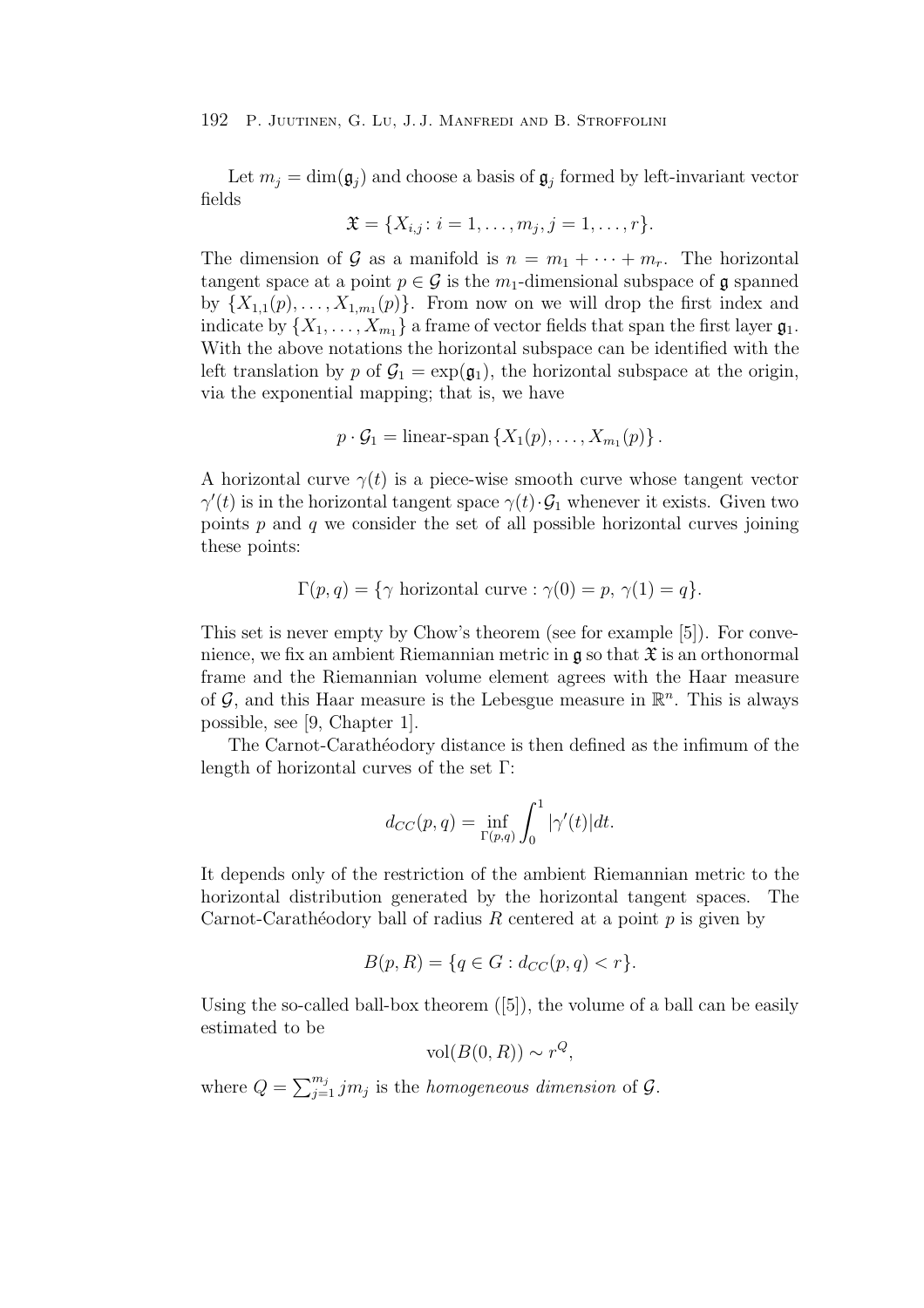Let  $m_i = \dim(\mathfrak{g}_i)$  and choose a basis of  $\mathfrak{g}_i$  formed by left-invariant vector fields

$$
\mathfrak{X} = \{X_{i,j} : i = 1, \ldots, m_j, j = 1, \ldots, r\}.
$$

The dimension of G as a manifold is  $n = m_1 + \cdots + m_r$ . The horizontal tangent space at a point  $p \in \mathcal{G}$  is the  $m_1$ -dimensional subspace of  $\mathfrak{g}$  spanned by  $\{X_{1,1}(p),...,X_{1,m_1}(p)\}\$ . From now on we will drop the first index and indicate by  $\{X_1,\ldots,X_{m_1}\}\$  a frame of vector fields that span the first layer  $\mathfrak{g}_1$ . With the above notations the horizontal subspace can be identified with the left translation by p of  $\mathcal{G}_1 = \exp(\mathfrak{g}_1)$ , the horizontal subspace at the origin, via the exponential mapping; that is, we have

$$
p \cdot G_1 = \text{linear-span}\left\{X_1(p), \ldots, X_{m_1}(p)\right\}.
$$

A horizontal curve  $\gamma(t)$  is a piece-wise smooth curve whose tangent vector  $\gamma'(t)$  is in the horizontal tangent space  $\gamma(t) \cdot \mathcal{G}_1$  whenever it exists. Given two points  $p$  and  $q$  we consider the set of all possible horizontal curves joining these points:

$$
\Gamma(p,q) = \{ \gamma \text{ horizontal curve} : \gamma(0) = p, \gamma(1) = q \}.
$$

This set is never empty by Chow's theorem (see for example [5]). For convenience, we fix an ambient Riemannian metric in  $\mathfrak g$  so that  $\mathfrak X$  is an orthonormal frame and the Riemannian volume element agrees with the Haar measure of  $\mathcal{G}$ , and this Haar measure is the Lebesgue measure in  $\mathbb{R}^n$ . This is always possible, see [9, Chapter 1].

The Carnot-Carathéodory distance is then defined as the infimum of the length of horizontal curves of the set Γ:

$$
d_{CC}(p,q) = \inf_{\Gamma(p,q)} \int_0^1 |\gamma'(t)| dt.
$$

It depends only of the restriction of the ambient Riemannian metric to the horizontal distribution generated by the horizontal tangent spaces. The Carnot-Carathéodory ball of radius R centered at a point  $p$  is given by

$$
B(p, R) = \{q \in G : d_{CC}(p, q) < r\}.
$$

Using the so-called ball-box theorem  $([5])$ , the volume of a ball can be easily estimated to be

$$
vol(B(0,R)) \sim r^Q,
$$

where  $Q = \sum_{j=1}^{m_j} j m_j$  is the *homogeneous dimension* of  $\mathcal{G}$ .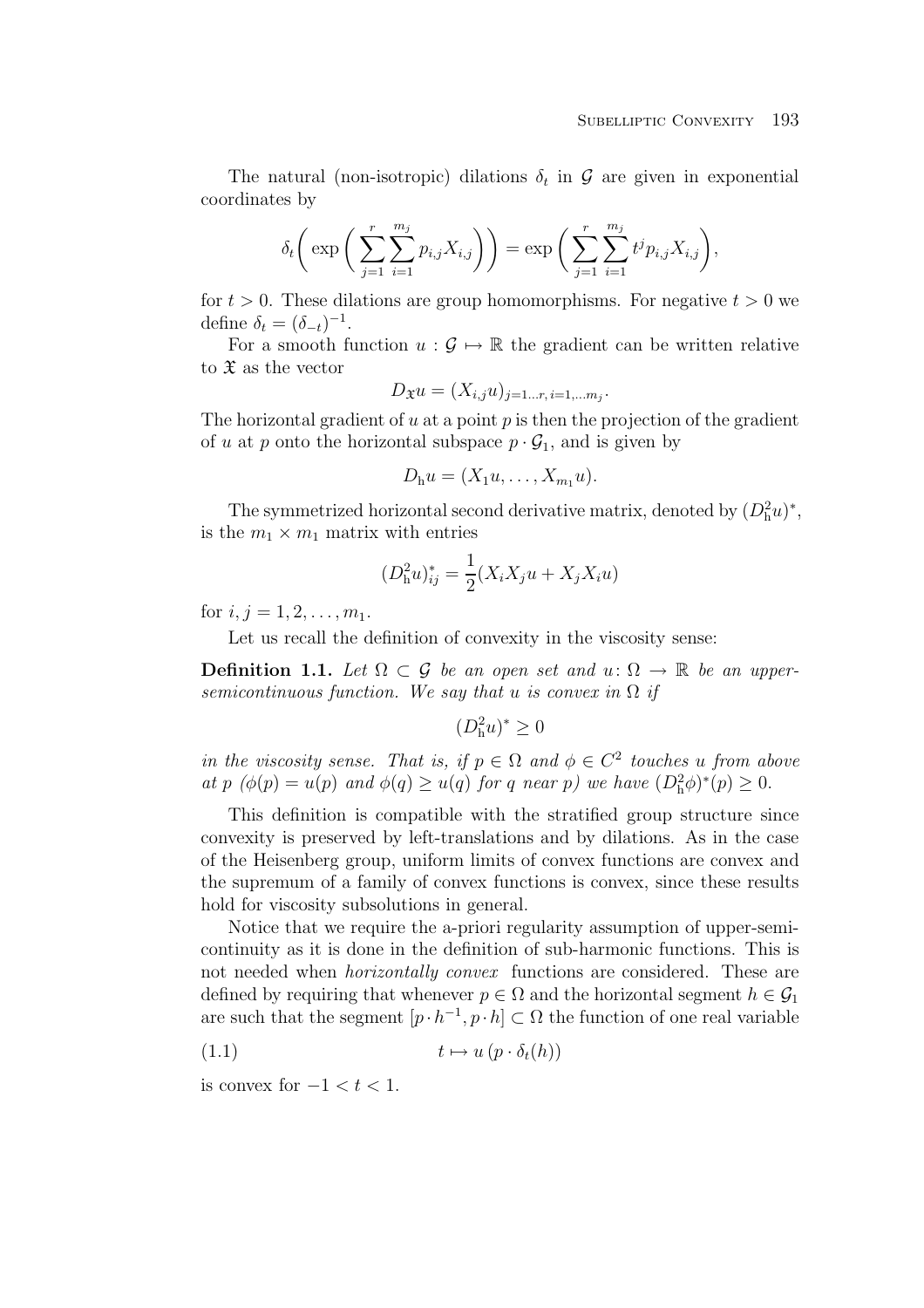The natural (non-isotropic) dilations  $\delta_t$  in G are given in exponential coordinates by

$$
\delta_t \bigg( \exp \bigg( \sum_{j=1}^r \sum_{i=1}^{m_j} p_{i,j} X_{i,j} \bigg) \bigg) = \exp \bigg( \sum_{j=1}^r \sum_{i=1}^{m_j} t^j p_{i,j} X_{i,j} \bigg),
$$

for  $t > 0$ . These dilations are group homomorphisms. For negative  $t > 0$  we define  $\delta_t = (\delta_{-t})^{-1}$ .

For a smooth function  $u : \mathcal{G} \mapsto \mathbb{R}$  the gradient can be written relative to  $\mathfrak X$  as the vector

$$
D_{\mathfrak{X}}u=(X_{i,j}u)_{j=1...r, i=1,...m_j}.
$$

The horizontal gradient of u at a point  $p$  is then the projection of the gradient of u at p onto the horizontal subspace  $p \cdot \mathcal{G}_1$ , and is given by

$$
D_{\mathrm{h}}u=(X_1u,\ldots,X_{m_1}u).
$$

The symmetrized horizontal second derivative matrix, denoted by  $(D_h^2 u)^*$ , is the  $m_1 \times m_1$  matrix with entries

$$
(D_{\mathbf{h}}^{2}u)_{ij}^{*} = \frac{1}{2}(X_{i}X_{j}u + X_{j}X_{i}u)
$$

for  $i, j = 1, 2, \ldots, m_1$ .

Let us recall the definition of convexity in the viscosity sense:

**Definition 1.1.** Let  $\Omega \subset \mathcal{G}$  be an open set and  $u: \Omega \to \mathbb{R}$  be an uppersemicontinuous function. We say that u is convex in  $\Omega$  if

$$
(D_\mathrm{h}^2 u)^* \geq 0
$$

in the viscosity sense. That is, if  $p \in \Omega$  and  $\phi \in C^2$  touches u from above at p  $(\phi(p) = u(p)$  and  $\phi(q) \geq u(q)$  for q near p) we have  $(D_h^2 \phi)^*(p) \geq 0$ .

This definition is compatible with the stratified group structure since convexity is preserved by left-translations and by dilations. As in the case of the Heisenberg group, uniform limits of convex functions are convex and the supremum of a family of convex functions is convex, since these results hold for viscosity subsolutions in general.

Notice that we require the a-priori regularity assumption of upper-semicontinuity as it is done in the definition of sub-harmonic functions. This is not needed when *horizontally convex* functions are considered. These are defined by requiring that whenever  $p \in \Omega$  and the horizontal segment  $h \in \mathcal{G}_1$ are such that the segment  $[p \cdot h^{-1}, p \cdot h] \subset \Omega$  the function of one real variable

$$
(1.1) \t t \mapsto u (p \cdot \delta_t(h))
$$

is convex for  $-1 < t < 1$ .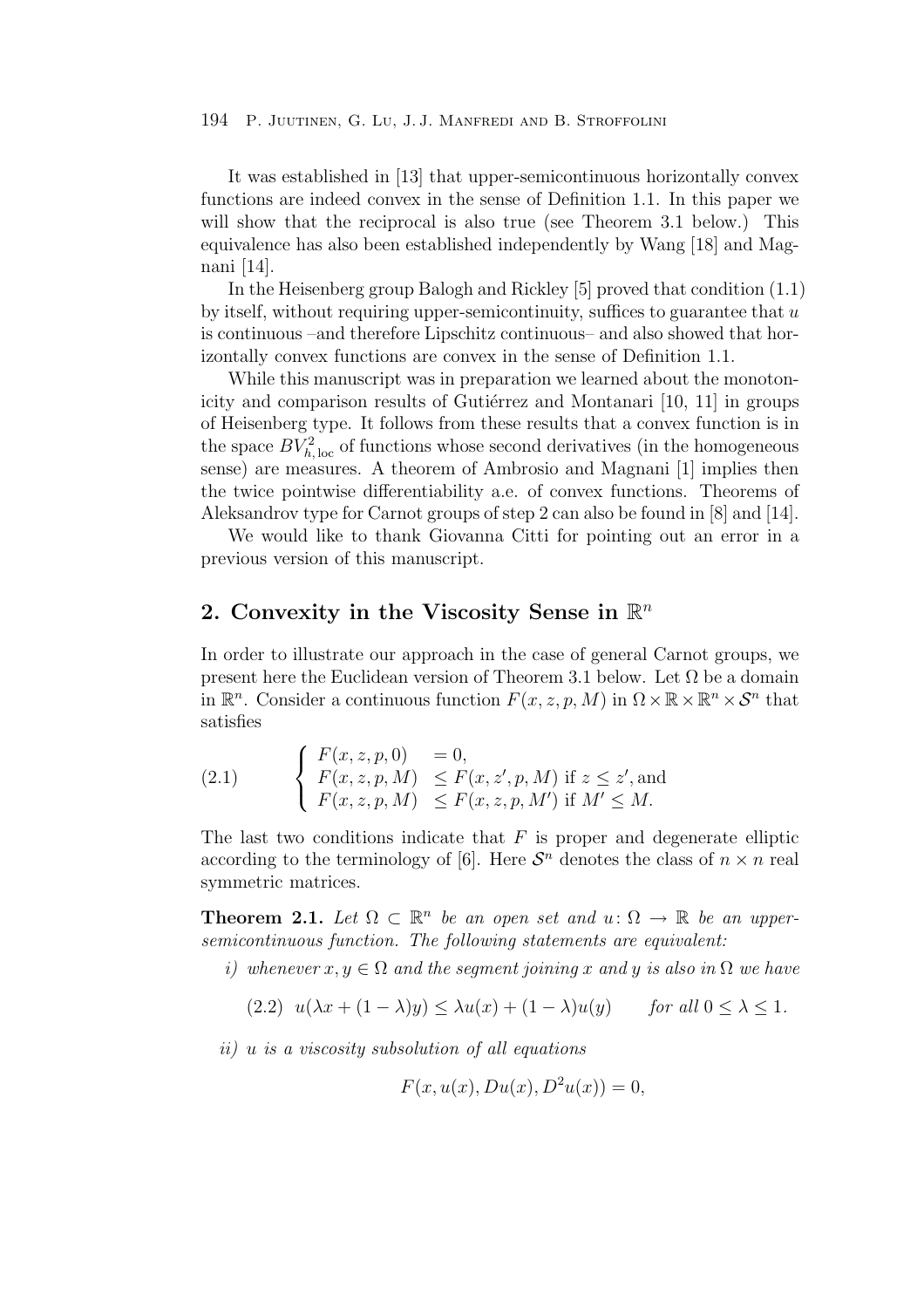It was established in [13] that upper-semicontinuous horizontally convex functions are indeed convex in the sense of Definition 1.1. In this paper we will show that the reciprocal is also true (see Theorem 3.1 below.) This equivalence has also been established independently by Wang [18] and Magnani [14].

In the Heisenberg group Balogh and Rickley [5] proved that condition (1.1) by itself, without requiring upper-semicontinuity, suffices to guarantee that  $u$ is continuous –and therefore Lipschitz continuous– and also showed that horizontally convex functions are convex in the sense of Definition 1.1.

While this manuscript was in preparation we learned about the monotonicity and comparison results of Gutiérrez and Montanari [10, 11] in groups of Heisenberg type. It follows from these results that a convex function is in the space  $BV_{h, \text{loc}}^2$  of functions whose second derivatives (in the homogeneous sense) are measures. A theorem of Ambrosio and Magnani [1] implies then the twice pointwise differentiability a.e. of convex functions. Theorems of Aleksandrov type for Carnot groups of step 2 can also be found in [8] and [14].

We would like to thank Giovanna Citti for pointing out an error in a previous version of this manuscript.

## **2. Convexity in the Viscosity Sense in** R*<sup>n</sup>*

In order to illustrate our approach in the case of general Carnot groups, we present here the Euclidean version of Theorem 3.1 below. Let  $\Omega$  be a domain in  $\mathbb{R}^n$ . Consider a continuous function  $F(x, z, p, M)$  in  $\Omega \times \mathbb{R} \times \mathbb{R}^n \times \mathcal{S}^n$  that satisfies

(2.1) 
$$
\begin{cases} F(x, z, p, 0) = 0, \\ F(x, z, p, M) \le F(x, z', p, M) \text{ if } z \le z', \text{and} \\ F(x, z, p, M) \le F(x, z, p, M') \text{ if } M' \le M. \end{cases}
$$

The last two conditions indicate that  $F$  is proper and degenerate elliptic according to the terminology of [6]. Here  $S<sup>n</sup>$  denotes the class of  $n \times n$  real symmetric matrices.

**Theorem 2.1.** Let  $\Omega \subset \mathbb{R}^n$  be an open set and  $u: \Omega \to \mathbb{R}$  be an uppersemicontinuous function. The following statements are equivalent:

i) whenever  $x, y \in \Omega$  and the segment joining x and y is also in  $\Omega$  we have

$$
(2.2) \ \ u(\lambda x + (1 - \lambda)y) \le \lambda u(x) + (1 - \lambda)u(y) \qquad \text{for all } 0 \le \lambda \le 1.
$$

ii) u is a viscosity subsolution of all equations

$$
F(x, u(x), Du(x), D2u(x)) = 0,
$$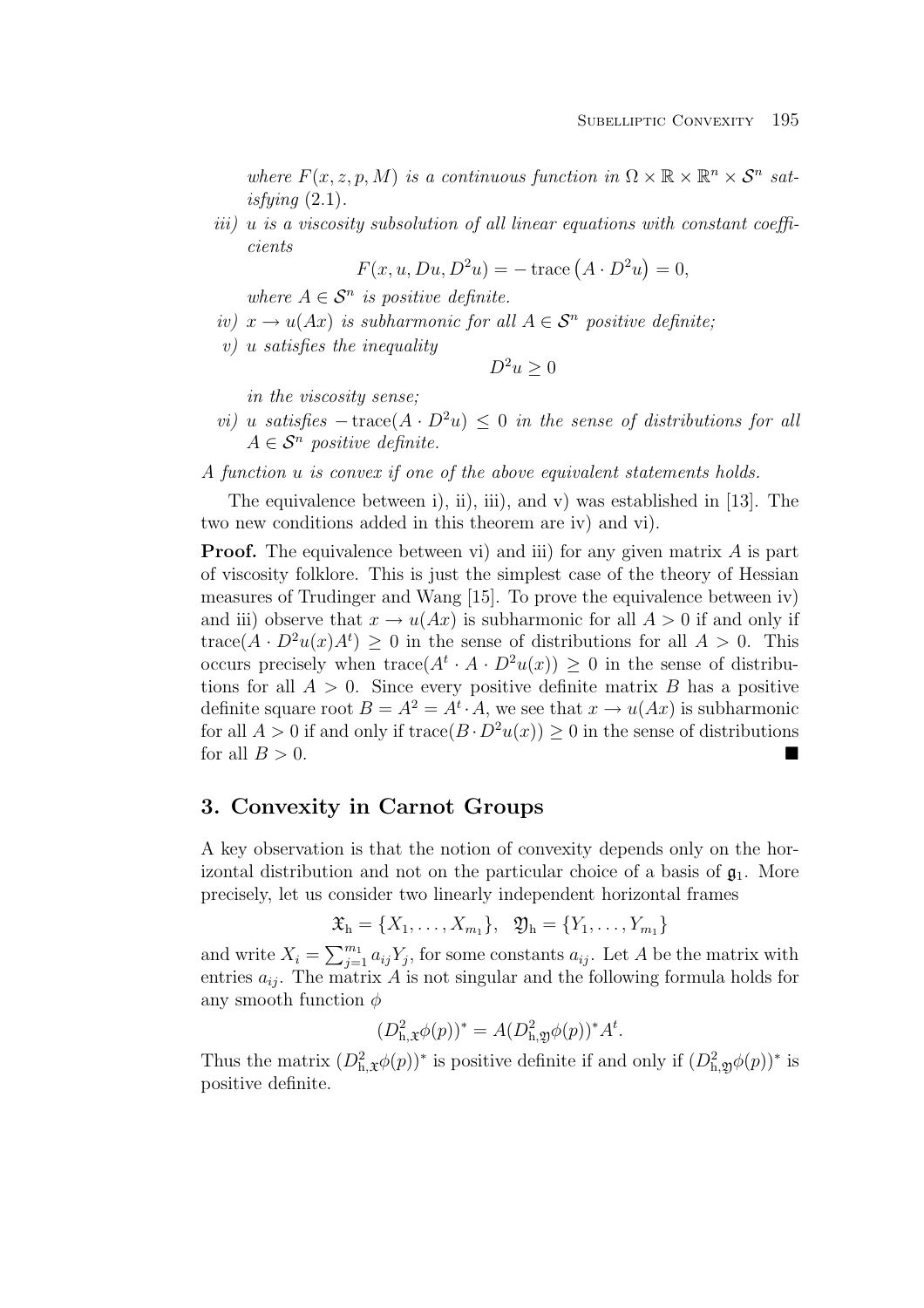where  $F(x, z, p, M)$  is a continuous function in  $\Omega \times \mathbb{R} \times \mathbb{R}^n \times \mathcal{S}^n$  satisfuing  $(2.1)$ .

iii) u is a viscosity subsolution of all linear equations with constant coefficients

$$
F(x, u, Du, D2u) = -\operatorname{trace}(A \cdot D2u) = 0,
$$

where  $A \in \mathcal{S}^n$  is positive definite.

- iv)  $x \to u(Ax)$  is subharmonic for all  $A \in S^n$  positive definite;
- v) u satisfies the inequality

$$
D^2u\geq 0
$$

in the viscosity sense;

- vi) u satisfies  $-\text{trace}(A \cdot D^2u) \leq 0$  in the sense of distributions for all  $A \in \mathcal{S}^n$  positive definite.
- A function u is convex if one of the above equivalent statements holds.

The equivalence between i), ii), iii), and v) was established in [13]. The two new conditions added in this theorem are iv) and vi).

**Proof.** The equivalence between vi) and iii) for any given matrix A is part of viscosity folklore. This is just the simplest case of the theory of Hessian measures of Trudinger and Wang [15]. To prove the equivalence between iv) and iii) observe that  $x \to u(Ax)$  is subharmonic for all  $A > 0$  if and only if trace( $A \cdot D^2u(x)A^t$ )  $\geq 0$  in the sense of distributions for all  $A > 0$ . This occurs precisely when  $trace(A^t \cdot A \cdot D^2u(x)) \geq 0$  in the sense of distributions for all  $A > 0$ . Since every positive definite matrix B has a positive definite square root  $B = A^2 = A^t \cdot A$ , we see that  $x \to u(Ax)$  is subharmonic for all  $A > 0$  if and only if  $trace(B \cdot D^2u(x)) \ge 0$  in the sense of distributions for all  $B > 0$ .

## **3. Convexity in Carnot Groups**

A key observation is that the notion of convexity depends only on the horizontal distribution and not on the particular choice of a basis of  $\mathfrak{g}_1$ . More precisely, let us consider two linearly independent horizontal frames

$$
\mathfrak{X}_{h} = \{X_1, \ldots, X_{m_1}\}, \quad \mathfrak{Y}_{h} = \{Y_1, \ldots, Y_{m_1}\}
$$

and write  $X_i = \sum_{j=1}^{m_1} a_{ij} Y_j$ , for some constants  $a_{ij}$ . Let A be the matrix with entries  $a_{ij}$ . The matrix A is not singular and the following formula holds for any smooth function  $\phi$ 

$$
(D_{h,\mathfrak{X}}^{2}\phi(p))^{*} = A(D_{h,\mathfrak{Y}}^{2}\phi(p))^{*}A^{t}.
$$

Thus the matrix  $(D_{h,\mathfrak{X}}^2\phi(p))^*$  is positive definite if and only if  $(D_{h,\mathfrak{Y}}^2\phi(p))^*$  is positive definite.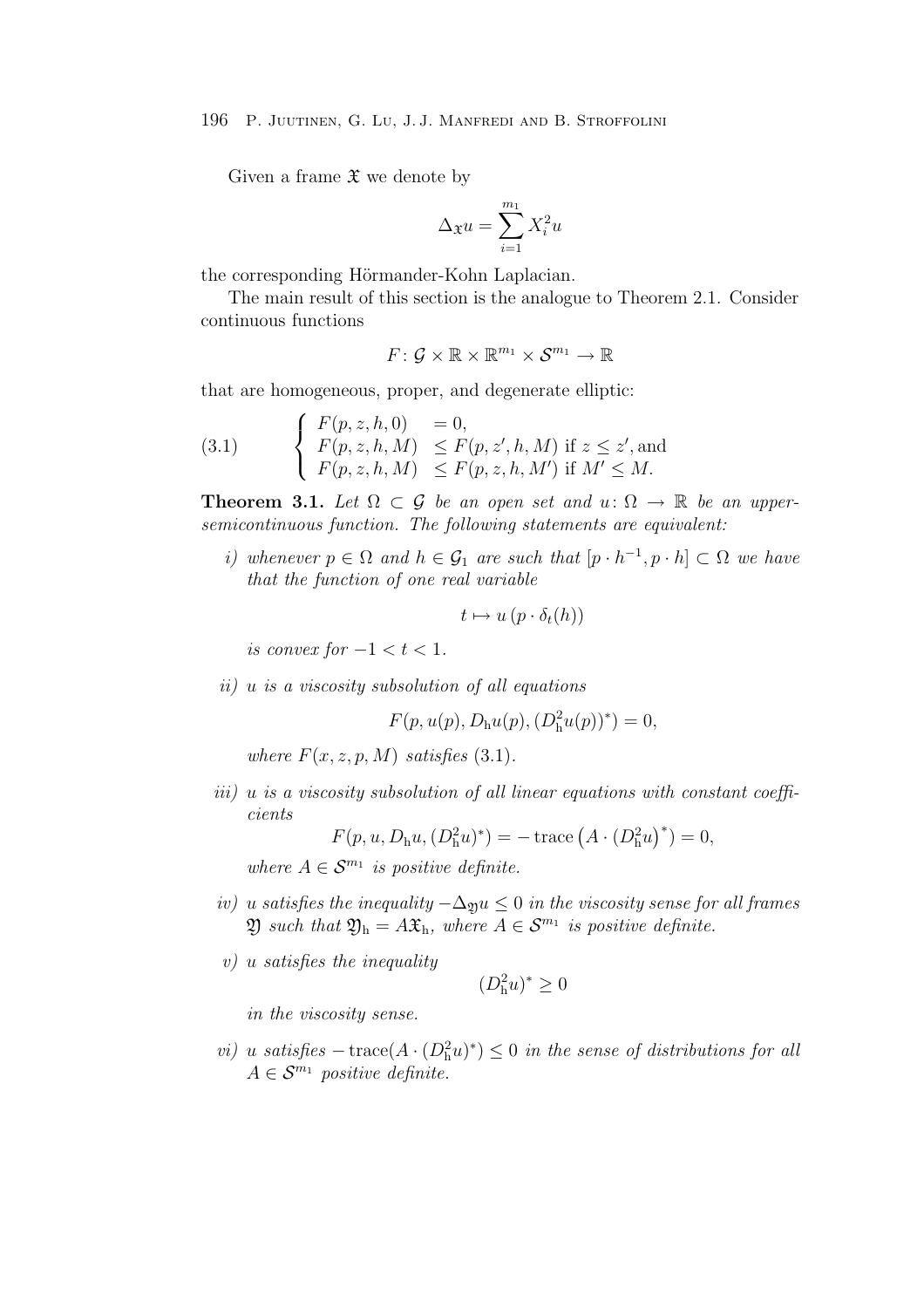Given a frame  $\mathfrak X$  we denote by

$$
\Delta_{\mathfrak{X}}u=\sum_{i=1}^{m_1}X_i^2u
$$

the corresponding Hörmander-Kohn Laplacian.

The main result of this section is the analogue to Theorem 2.1. Consider continuous functions

$$
F\colon \mathcal{G}\times \mathbb{R}\times \mathbb{R}^{m_1}\times \mathcal{S}^{m_1}\rightarrow \mathbb{R}
$$

that are homogeneous, proper, and degenerate elliptic:

(3.1) 
$$
\begin{cases} F(p, z, h, 0) = 0, \\ F(p, z, h, M) \leq F(p, z', h, M) \text{ if } z \leq z', \text{and} \\ F(p, z, h, M) \leq F(p, z, h, M') \text{ if } M' \leq M. \end{cases}
$$

**Theorem 3.1.** Let  $\Omega \subset \mathcal{G}$  be an open set and  $u: \Omega \to \mathbb{R}$  be an uppersemicontinuous function. The following statements are equivalent:

i) whenever  $p \in \Omega$  and  $h \in \mathcal{G}_1$  are such that  $[p \cdot h^{-1}, p \cdot h] \subset \Omega$  we have that the function of one real variable

$$
t \mapsto u (p \cdot \delta_t(h))
$$

is convex for  $-1 < t < 1$ .

ii) u is a viscosity subsolution of all equations

 $F(p, u(p), D_{h}u(p), (D_{h}^{2}u(p))^{*}) = 0,$ 

where  $F(x, z, p, M)$  satisfies (3.1).

iii) u is a viscosity subsolution of all linear equations with constant coefficients

$$
F(p, u, D_{h}u, (D_{h}^{2}u)^{*}) = -\operatorname{trace}(A \cdot (D_{h}^{2}u)^{*}) = 0,
$$

where  $A \in \mathcal{S}^{m_1}$  is positive definite.

- iv) u satisfies the inequality  $-\Delta_{\mathfrak{D}}u \leq 0$  in the viscosity sense for all frames  $\mathfrak{Y}$  such that  $\mathfrak{Y}_h = A\mathfrak{X}_h$ , where  $A \in \mathcal{S}^{m_1}$  is positive definite.
- $v)$  u satisfies the inequality

$$
(D_\mathrm{h}^2 u)^* \geq 0
$$

in the viscosity sense.

vi) u satisfies  $-\operatorname{trace}(A \cdot (D_h^2 u)^*) \leq 0$  in the sense of distributions for all  $A \in \mathcal{S}^{m_1}$  positive definite.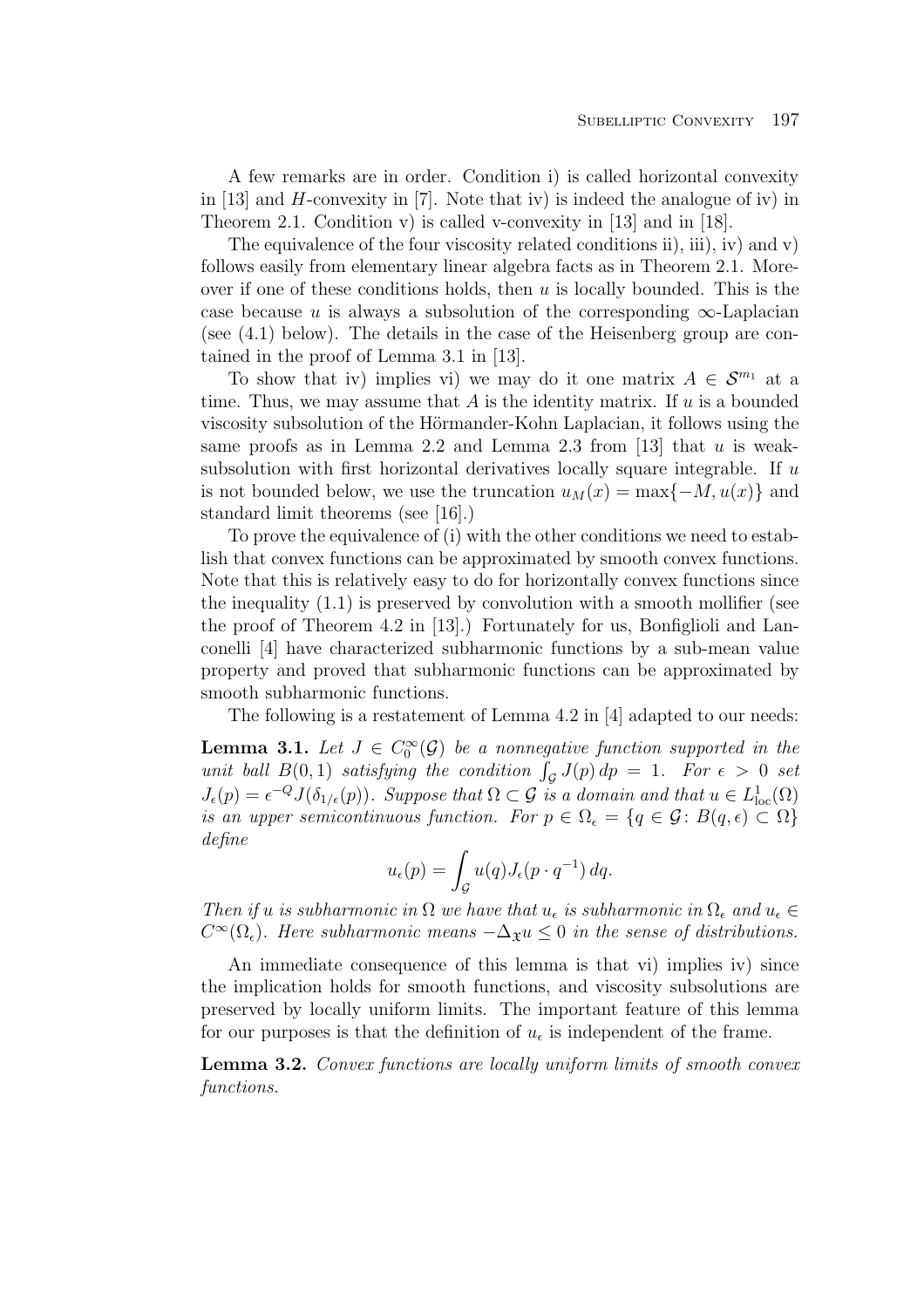A few remarks are in order. Condition i) is called horizontal convexity in  $[13]$  and H-convexity in  $[7]$ . Note that iv) is indeed the analogue of iv) in Theorem 2.1. Condition v) is called v-convexity in [13] and in [18].

The equivalence of the four viscosity related conditions ii), iii), iv) and v) follows easily from elementary linear algebra facts as in Theorem 2.1. Moreover if one of these conditions holds, then  $u$  is locally bounded. This is the case because u is always a subsolution of the corresponding  $\infty$ -Laplacian (see (4.1) below). The details in the case of the Heisenberg group are contained in the proof of Lemma 3.1 in [13].

To show that iv) implies vi) we may do it one matrix  $A \in \mathcal{S}^{m_1}$  at a time. Thus, we may assume that  $A$  is the identity matrix. If  $u$  is a bounded viscosity subsolution of the Hörmander-Kohn Laplacian, it follows using the same proofs as in Lemma 2.2 and Lemma 2.3 from  $[13]$  that u is weaksubsolution with first horizontal derivatives locally square integrable. If  $u$ is not bounded below, we use the truncation  $u_M(x) = \max\{-M, u(x)\}\$ and standard limit theorems (see [16].)

To prove the equivalence of (i) with the other conditions we need to establish that convex functions can be approximated by smooth convex functions. Note that this is relatively easy to do for horizontally convex functions since the inequality  $(1.1)$  is preserved by convolution with a smooth mollifier (see the proof of Theorem 4.2 in [13].) Fortunately for us, Bonfiglioli and Lanconelli [4] have characterized subharmonic functions by a sub-mean value property and proved that subharmonic functions can be approximated by smooth subharmonic functions.

The following is a restatement of Lemma 4.2 in [4] adapted to our needs:

**Lemma 3.1.** Let  $J \in C_0^{\infty}(\mathcal{G})$  be a nonnegative function supported in the unit ball  $B(0,1)$  satisfying the condition  $\int_{\mathcal{G}} J(p) dp = 1$ . For  $\epsilon > 0$  set  $J_{\epsilon}(p) = \epsilon^{-Q} J(\delta_{1/\epsilon}(p))$ . Suppose that  $\Omega \subset \mathcal{G}$  is a domain and that  $u \in L^1_{loc}(\Omega)$ is an upper semicontinuous function. For  $p \in \Omega_{\epsilon} = \{q \in \mathcal{G} : B(q, \epsilon) \subset \Omega\}$ define

$$
u_{\epsilon}(p) = \int_{\mathcal{G}} u(q) J_{\epsilon}(p \cdot q^{-1}) dq.
$$

Then if u is subharmonic in  $\Omega$  we have that  $u_{\epsilon}$  is subharmonic in  $\Omega_{\epsilon}$  and  $u_{\epsilon} \in$  $C^{\infty}(\Omega_{\epsilon})$ . Here subharmonic means  $-\Delta_{\mathfrak{X}}u \leq 0$  in the sense of distributions.

An immediate consequence of this lemma is that vi) implies iv) since the implication holds for smooth functions, and viscosity subsolutions are preserved by locally uniform limits. The important feature of this lemma for our purposes is that the definition of  $u_{\epsilon}$  is independent of the frame.

**Lemma 3.2.** Convex functions are locally uniform limits of smooth convex functions.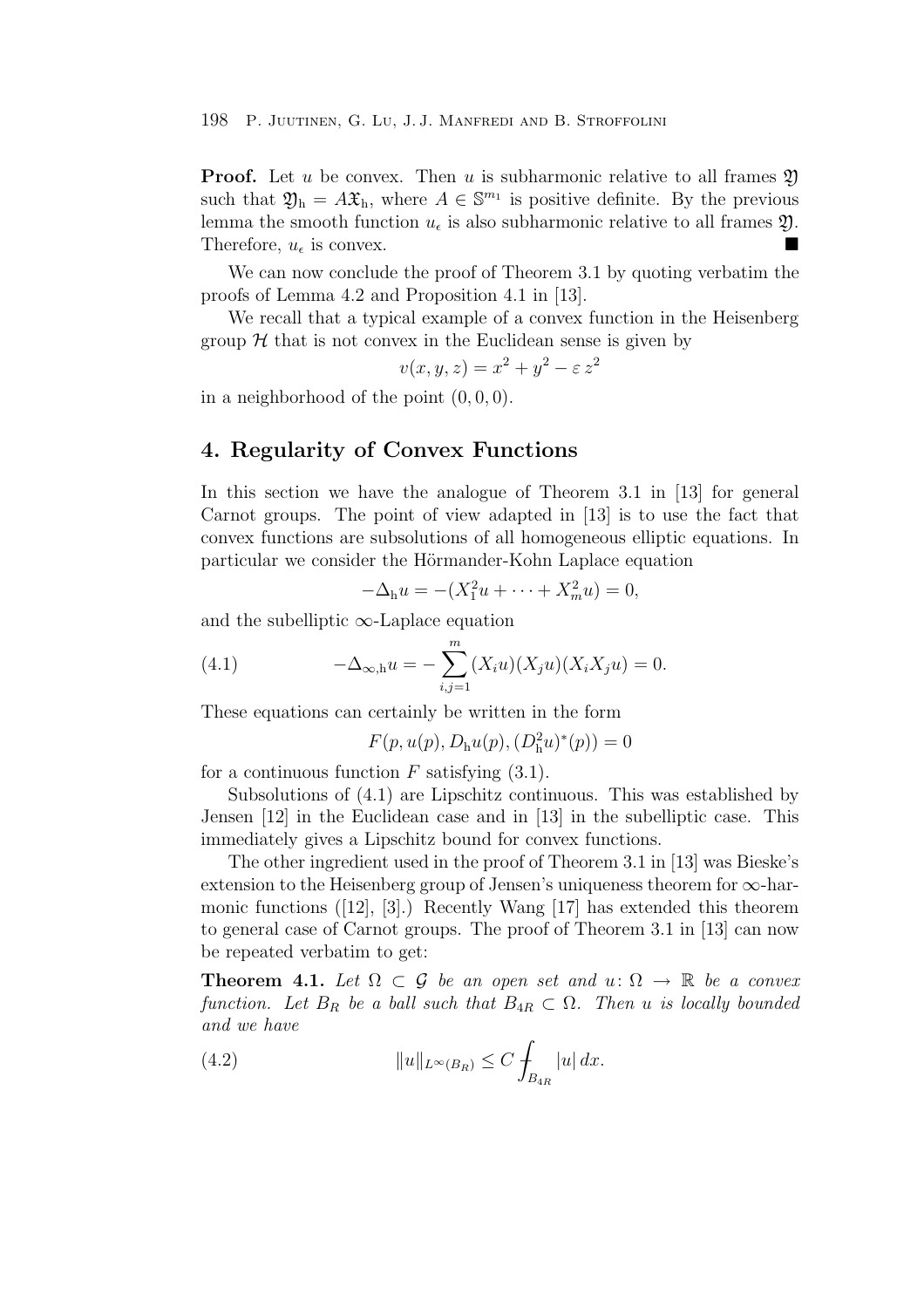**Proof.** Let u be convex. Then u is subharmonic relative to all frames  $\mathfrak{Y}$ such that  $\mathfrak{Y}_{h} = A\mathfrak{X}_{h}$ , where  $A \in \mathbb{S}^{m_1}$  is positive definite. By the previous lemma the smooth function  $u_{\epsilon}$  is also subharmonic relative to all frames  $\mathfrak{Y}$ .<br>Therefore  $u_{\epsilon}$  is convex Therefore,  $u_{\epsilon}$  is convex.

We can now conclude the proof of Theorem 3.1 by quoting verbatim the proofs of Lemma 4.2 and Proposition 4.1 in [13].

We recall that a typical example of a convex function in the Heisenberg group  $H$  that is not convex in the Euclidean sense is given by

$$
v(x, y, z) = x^2 + y^2 - \varepsilon z^2
$$

in a neighborhood of the point  $(0, 0, 0)$ .

## **4. Regularity of Convex Functions**

In this section we have the analogue of Theorem 3.1 in [13] for general Carnot groups. The point of view adapted in [13] is to use the fact that convex functions are subsolutions of all homogeneous elliptic equations. In particular we consider the Hörmander-Kohn Laplace equation

$$
-\Delta_{h}u = -(X_{1}^{2}u + \cdots + X_{m}^{2}u) = 0,
$$

and the subelliptic  $\infty$ -Laplace equation

(4.1) 
$$
-\Delta_{\infty, h} u = -\sum_{i,j=1}^{m} (X_i u)(X_j u)(X_i X_j u) = 0.
$$

These equations can certainly be written in the form

$$
F(p, u(p), D_h u(p), (D_h^2 u)^*(p)) = 0
$$

for a continuous function  $F$  satisfying  $(3.1)$ .

Subsolutions of (4.1) are Lipschitz continuous. This was established by Jensen [12] in the Euclidean case and in [13] in the subelliptic case. This immediately gives a Lipschitz bound for convex functions.

The other ingredient used in the proof of Theorem 3.1 in [13] was Bieske's extension to the Heisenberg group of Jensen's uniqueness theorem for  $\infty$ -harmonic functions ([12], [3].) Recently Wang [17] has extended this theorem to general case of Carnot groups. The proof of Theorem 3.1 in [13] can now be repeated verbatim to get:

**Theorem 4.1.** Let  $\Omega \subset \mathcal{G}$  be an open set and  $u: \Omega \to \mathbb{R}$  be a convex function. Let  $B_R$  be a ball such that  $B_{4R} \subset \Omega$ . Then u is locally bounded and we have

(4.2) 
$$
||u||_{L^{\infty}(B_R)} \leq C \int_{B_{4R}} |u| dx.
$$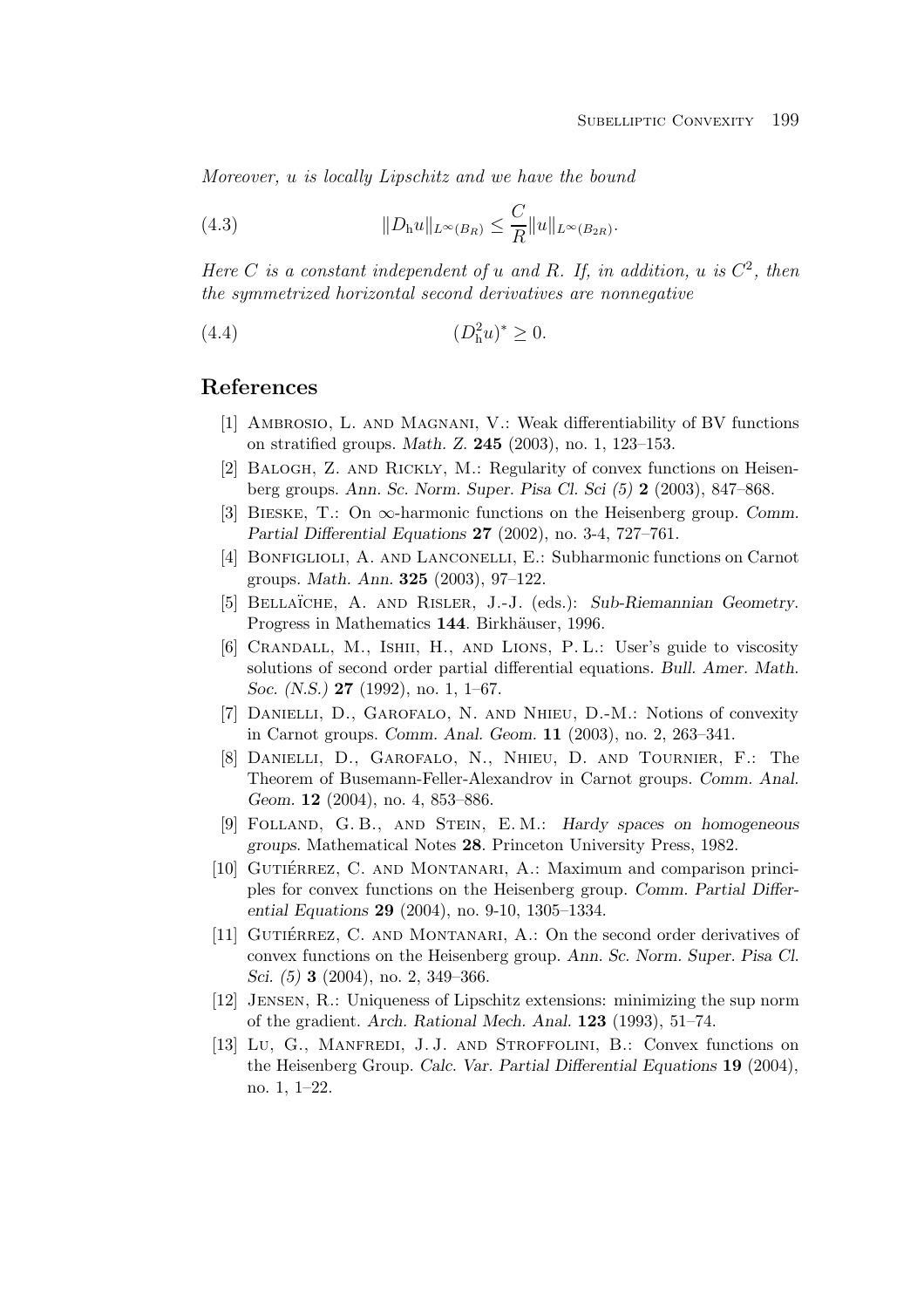Moreover, u is locally Lipschitz and we have the bound

(4.3) 
$$
||D_h u||_{L^{\infty}(B_R)} \leq \frac{C}{R} ||u||_{L^{\infty}(B_{2R})}.
$$

Here C is a constant independent of u and R. If, in addition, u is  $C^2$ , then the symmetrized horizontal second derivatives are nonnegative

(4.4) 
$$
(D_{\rm h}^2 u)^* \geq 0.
$$

## **References**

- [1] Ambrosio, L. and Magnani, V.: Weak differentiability of BV functions on stratified groups. *Math. Z.* **245** (2003), no. 1, 123–153.
- [2] Balogh, Z. and Rickly, M.: Regularity of convex functions on Heisenberg groups. *Ann. Sc. Norm. Super. Pisa Cl. Sci (5)* **2** (2003), 847–868.
- [3] Bieske, T.: On ∞-harmonic functions on the Heisenberg group. *Comm. Partial Differential Equations* **27** (2002), no. 3-4, 727–761.
- [4] BONFIGLIOLI, A. AND LANCONELLI, E.: Subharmonic functions on Carnot groups. *Math. Ann.* **325** (2003), 97–122.
- [5] BELLAÏCHE, A. AND RISLER, J.-J. (eds.): Sub-Riemannian Geometry. Progress in Mathematics 144. Birkhäuser, 1996.
- [6] Crandall, M., Ishii, H., and Lions, P. L.: User's guide to viscosity solutions of second order partial differential equations. *Bull. Amer. Math. Soc. (N.S.)* **27** (1992), no. 1, 1–67.
- [7] Danielli, D., Garofalo, N. and Nhieu, D.-M.: Notions of convexity in Carnot groups. *Comm. Anal. Geom.* **11** (2003), no. 2, 263–341.
- [8] Danielli, D., Garofalo, N., Nhieu, D. and Tournier, F.: The Theorem of Busemann-Feller-Alexandrov in Carnot groups. *Comm. Anal. Geom.* **12** (2004), no. 4, 853–886.
- [9] Folland, G. B., and Stein, E. M.: *Hardy spaces on homogeneous groups*. Mathematical Notes **28**. Princeton University Press, 1982.
- [10] GUTIÉRREZ, C. AND MONTANARI, A.: Maximum and comparison principles for convex functions on the Heisenberg group. *Comm. Partial Differential Equations* **29** (2004), no. 9-10, 1305–1334.
- [11] GUTIÉRREZ, C. AND MONTANARI, A.: On the second order derivatives of convex functions on the Heisenberg group. *Ann. Sc. Norm. Super. Pisa Cl. Sci. (5)* **3** (2004), no. 2, 349–366.
- [12] Jensen, R.: Uniqueness of Lipschitz extensions: minimizing the sup norm of the gradient. *Arch. Rational Mech. Anal.* **123** (1993), 51–74.
- [13] Lu, G., MANFREDI, J.J. AND STROFFOLINI, B.: Convex functions on the Heisenberg Group. *Calc. Var. Partial Differential Equations* **19** (2004), no. 1, 1–22.